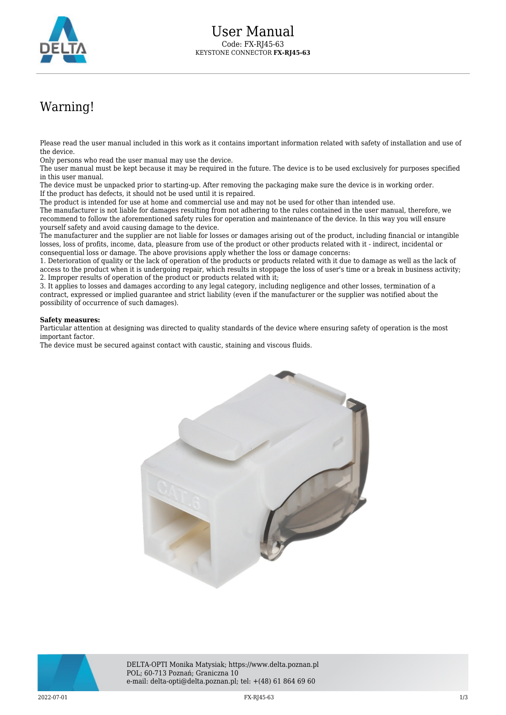

## Warning!

Please read the user manual included in this work as it contains important information related with safety of installation and use of the device.

Only persons who read the user manual may use the device.

The user manual must be kept because it may be required in the future. The device is to be used exclusively for purposes specified in this user manual.

The device must be unpacked prior to starting-up. After removing the packaging make sure the device is in working order. If the product has defects, it should not be used until it is repaired.

The product is intended for use at home and commercial use and may not be used for other than intended use.

The manufacturer is not liable for damages resulting from not adhering to the rules contained in the user manual, therefore, we recommend to follow the aforementioned safety rules for operation and maintenance of the device. In this way you will ensure yourself safety and avoid causing damage to the device.

The manufacturer and the supplier are not liable for losses or damages arising out of the product, including financial or intangible losses, loss of profits, income, data, pleasure from use of the product or other products related with it - indirect, incidental or consequential loss or damage. The above provisions apply whether the loss or damage concerns:

1. Deterioration of quality or the lack of operation of the products or products related with it due to damage as well as the lack of access to the product when it is undergoing repair, which results in stoppage the loss of user's time or a break in business activity; 2. Improper results of operation of the product or products related with it;

3. It applies to losses and damages according to any legal category, including negligence and other losses, termination of a contract, expressed or implied guarantee and strict liability (even if the manufacturer or the supplier was notified about the possibility of occurrence of such damages).

## **Safety measures:**

Particular attention at designing was directed to quality standards of the device where ensuring safety of operation is the most important factor.

The device must be secured against contact with caustic, staining and viscous fluids.



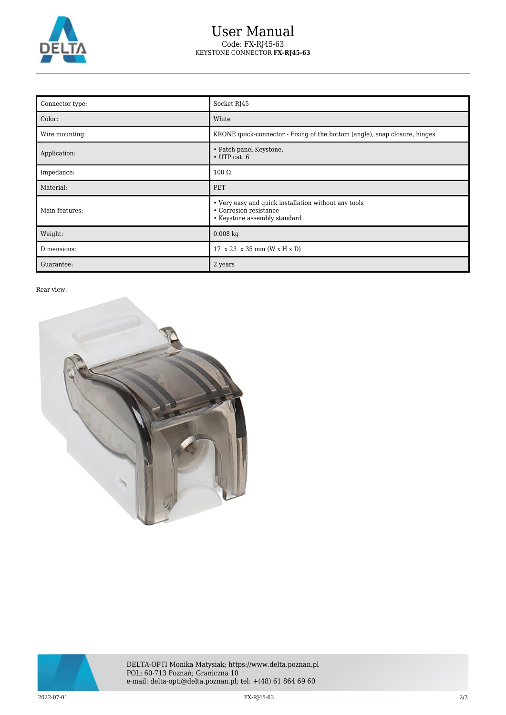

## User Manual Code: FX-RJ45-63 KEYSTONE CONNECTOR **FX-RJ45-63**

| Connector type: | Socket RJ45                                                                                                    |
|-----------------|----------------------------------------------------------------------------------------------------------------|
| Color:          | White                                                                                                          |
| Wire mounting:  | KRONE quick-connector - Fixing of the bottom (angle), snap closure, hinges                                     |
| Application:    | • Patch panel Keystone,<br>$\cdot$ UTP cat. 6                                                                  |
| Impedance:      | $100 \Omega$                                                                                                   |
| Material:       | PET                                                                                                            |
| Main features:  | • Very easy and quick installation without any tools<br>• Corrosion resistance<br>• Keystone assembly standard |
| Weight:         | $0.008$ kg                                                                                                     |
| Dimensions:     | 17 x 23 x 35 mm (W x H x D)                                                                                    |
| Guarantee:      | 2 years                                                                                                        |

Rear view: